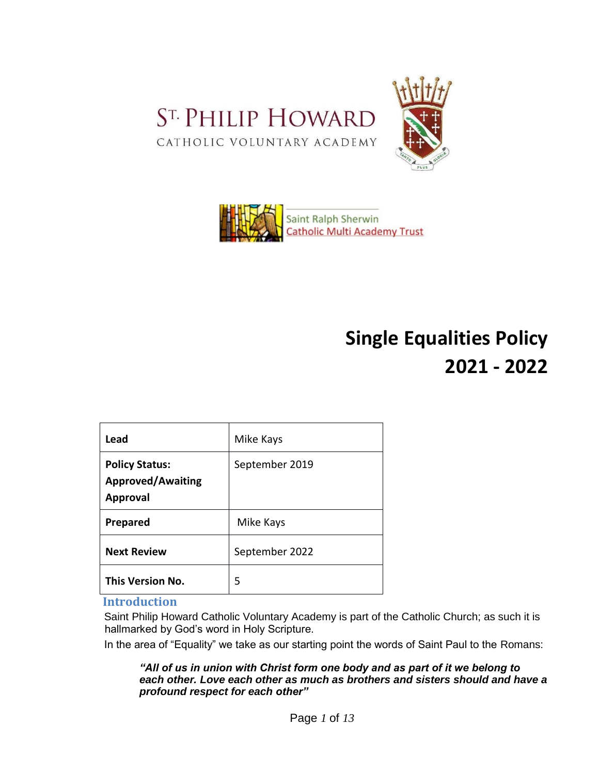





# **Single Equalities Policy 2021 - 2022**

| Lead                                                                 | Mike Kays      |
|----------------------------------------------------------------------|----------------|
| <b>Policy Status:</b><br><b>Approved/Awaiting</b><br><b>Approval</b> | September 2019 |
| <b>Prepared</b>                                                      | Mike Kays      |
| <b>Next Review</b>                                                   | September 2022 |
| <b>This Version No.</b>                                              | 5              |

## **Introduction**

Saint Philip Howard Catholic Voluntary Academy is part of the Catholic Church; as such it is hallmarked by God's word in Holy Scripture.

In the area of "Equality" we take as our starting point the words of Saint Paul to the Romans:

*"All of us in union with Christ form one body and as part of it we belong to each other. Love each other as much as brothers and sisters should and have a profound respect for each other"*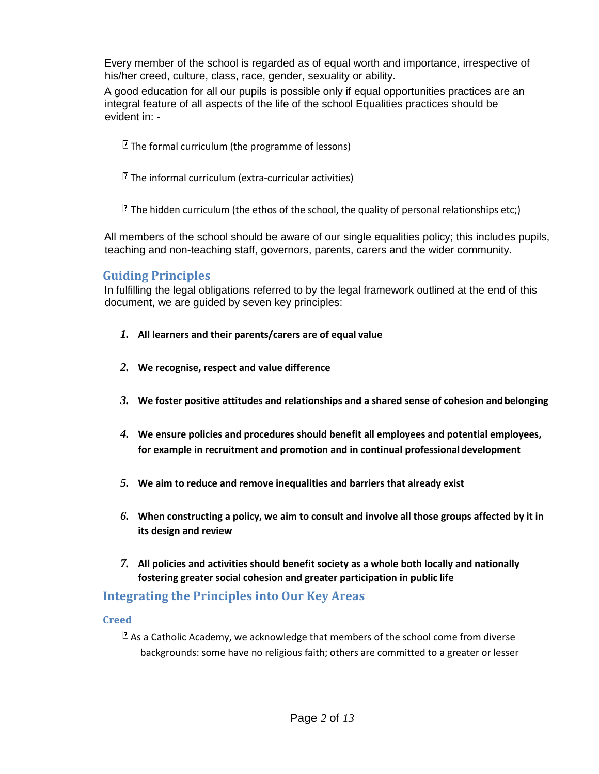Every member of the school is regarded as of equal worth and importance, irrespective of his/her creed, culture, class, race, gender, sexuality or ability.

A good education for all our pupils is possible only if equal opportunities practices are an integral feature of all aspects of the life of the school Equalities practices should be evident in: -

- $\mathbb{\Omega}$  The formal curriculum (the programme of lessons)
- $\mathbb{\Omega}$  The informal curriculum (extra-curricular activities)

 $\mathbb{\Xi}$  The hidden curriculum (the ethos of the school, the quality of personal relationships etc;)

All members of the school should be aware of our single equalities policy; this includes pupils, teaching and non-teaching staff, governors, parents, carers and the wider community.

## **Guiding Principles**

In fulfilling the legal obligations referred to by the legal framework outlined at the end of this document, we are guided by seven key principles:

- *1.* **All learners and their parents/carers are of equal value**
- *2.* **We recognise, respect and value difference**
- *3.* **We foster positive attitudes and relationships and a shared sense of cohesion andbelonging**
- *4.* **We ensure policies and procedures should benefit all employees and potential employees, for example in recruitment and promotion and in continual professionaldevelopment**
- *5.* **We aim to reduce and remove inequalities and barriers that already exist**
- *6.* **When constructing a policy, we aim to consult and involve all those groups affected by it in its design and review**
- *7.* **All policies and activities should benefit society as a whole both locally and nationally fostering greater social cohesion and greater participation in public life**

## **Integrating the Principles into Our Key Areas**

## **Creed**

 $\mathbb{R}$  As a Catholic Academy, we acknowledge that members of the school come from diverse backgrounds: some have no religious faith; others are committed to a greater or lesser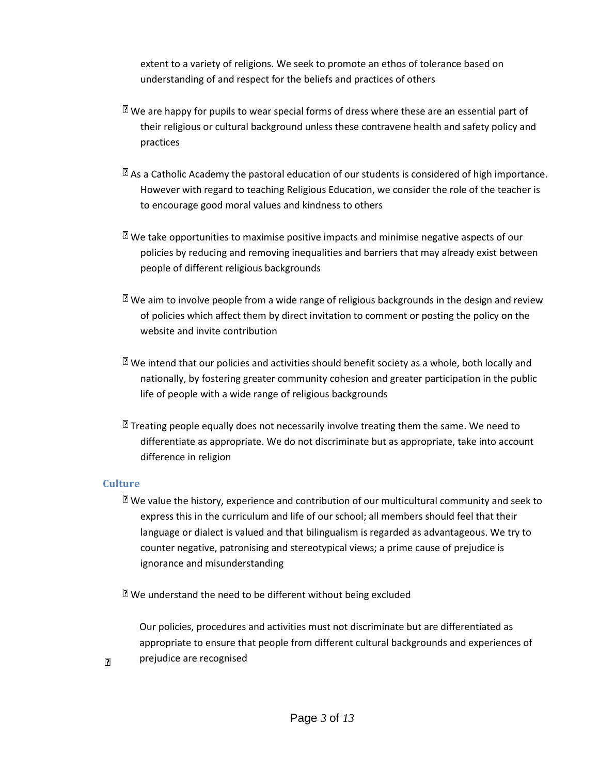extent to a variety of religions. We seek to promote an ethos of tolerance based on understanding of and respect for the beliefs and practices of others

- $\mathbb{\Xi}$  We are happy for pupils to wear special forms of dress where these are an essential part of their religious or cultural background unless these contravene health and safety policy and practices
- $\mathbb{\Omega}$  As a Catholic Academy the pastoral education of our students is considered of high importance. However with regard to teaching Religious Education, we consider the role of the teacher is to encourage good moral values and kindness to others
- $\mathbb{\Omega}$  We take opportunities to maximise positive impacts and minimise negative aspects of our policies by reducing and removing inequalities and barriers that may already exist between people of different religious backgrounds
- $\mathbb E$  We aim to involve people from a wide range of religious backgrounds in the design and review of policies which affect them by direct invitation to comment or posting the policy on the website and invite contribution
- $\mathbb{\Omega}$  We intend that our policies and activities should benefit society as a whole, both locally and nationally, by fostering greater community cohesion and greater participation in the public life of people with a wide range of religious backgrounds
- $\mathbb E$  Treating people equally does not necessarily involve treating them the same. We need to differentiate as appropriate. We do not discriminate but as appropriate, take into account difference in religion

## **Culture**

 $\overline{R}$ 

 $\mathbb{\Omega}$  We value the history, experience and contribution of our multicultural community and seek to express this in the curriculum and life of our school; all members should feel that their language or dialect is valued and that bilingualism is regarded as advantageous. We try to counter negative, patronising and stereotypical views; a prime cause of prejudice is ignorance and misunderstanding

 $\mathbb{\Omega}$  We understand the need to be different without being excluded

Our policies, procedures and activities must not discriminate but are differentiated as appropriate to ensure that people from different cultural backgrounds and experiences of prejudice are recognised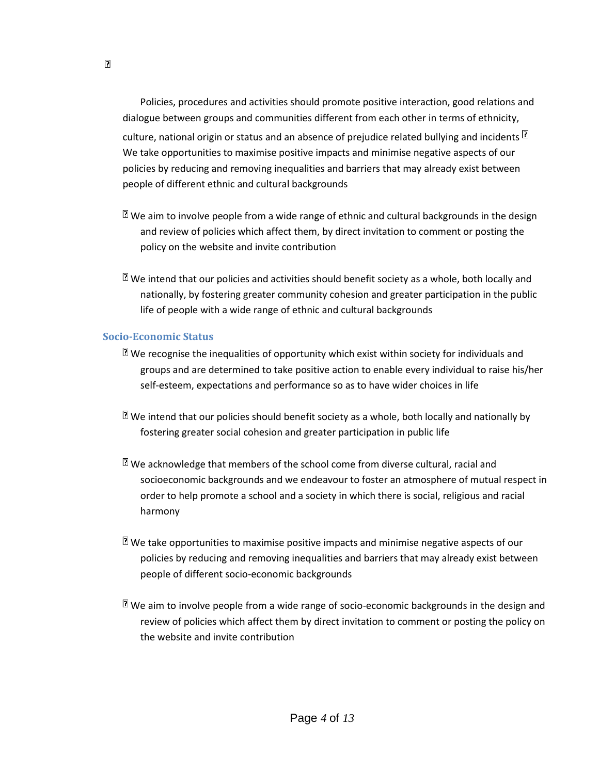Policies, procedures and activities should promote positive interaction, good relations and dialogue between groups and communities different from each other in terms of ethnicity, culture, national origin or status and an absence of prejudice related bullying and incidents  $\boxed{2}$ We take opportunities to maximise positive impacts and minimise negative aspects of our policies by reducing and removing inequalities and barriers that may already exist between people of different ethnic and cultural backgrounds

- $\mathbb{\Omega}$  We aim to involve people from a wide range of ethnic and cultural backgrounds in the design and review of policies which affect them, by direct invitation to comment or posting the policy on the website and invite contribution
- $\mathbb E$  We intend that our policies and activities should benefit society as a whole, both locally and nationally, by fostering greater community cohesion and greater participation in the public life of people with a wide range of ethnic and cultural backgrounds

#### **Socio-Economic Status**

- $\mathbb E$  We recognise the inequalities of opportunity which exist within society for individuals and groups and are determined to take positive action to enable every individual to raise his/her self-esteem, expectations and performance so as to have wider choices in life
- $\mathbb{\Xi}$  We intend that our policies should benefit society as a whole, both locally and nationally by fostering greater social cohesion and greater participation in public life
- $\mathbb{\Omega}$  We acknowledge that members of the school come from diverse cultural, racial and socioeconomic backgrounds and we endeavour to foster an atmosphere of mutual respect in order to help promote a school and a society in which there is social, religious and racial harmony
- $\mathbb{\Omega}$  We take opportunities to maximise positive impacts and minimise negative aspects of our policies by reducing and removing inequalities and barriers that may already exist between people of different socio-economic backgrounds
- $\mathbb{\Omega}$  We aim to involve people from a wide range of socio-economic backgrounds in the design and review of policies which affect them by direct invitation to comment or posting the policy on the website and invite contribution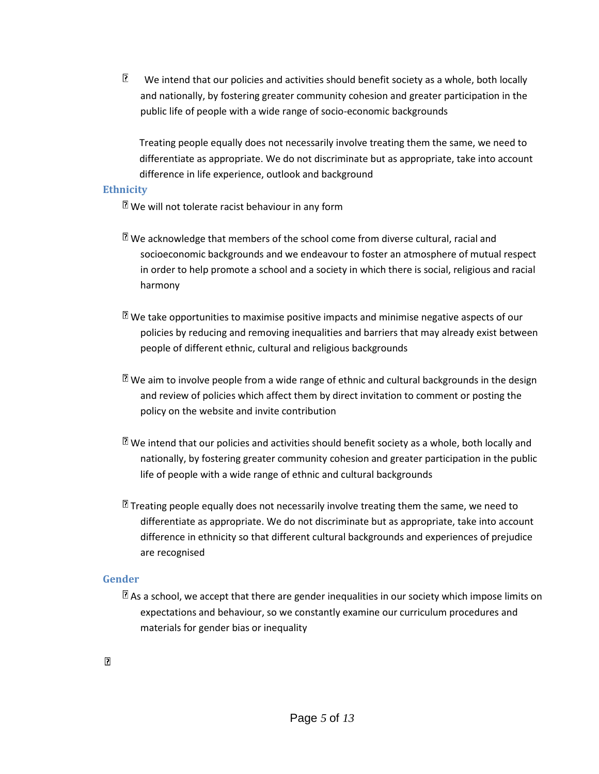P. We intend that our policies and activities should benefit society as a whole, both locally and nationally, by fostering greater community cohesion and greater participation in the public life of people with a wide range of socio-economic backgrounds

Treating people equally does not necessarily involve treating them the same, we need to differentiate as appropriate. We do not discriminate but as appropriate, take into account difference in life experience, outlook and background

#### **Ethnicity**

 $\mathbb{\Omega}$  We will not tolerate racist behaviour in any form

- $\mathbb{\Omega}$  We acknowledge that members of the school come from diverse cultural, racial and socioeconomic backgrounds and we endeavour to foster an atmosphere of mutual respect in order to help promote a school and a society in which there is social, religious and racial harmony
- $\mathbb{\Xi}$  We take opportunities to maximise positive impacts and minimise negative aspects of our policies by reducing and removing inequalities and barriers that may already exist between people of different ethnic, cultural and religious backgrounds
- $\mathbb{\Xi}$  We aim to involve people from a wide range of ethnic and cultural backgrounds in the design and review of policies which affect them by direct invitation to comment or posting the policy on the website and invite contribution
- $\mathbb{\Omega}$  We intend that our policies and activities should benefit society as a whole, both locally and nationally, by fostering greater community cohesion and greater participation in the public life of people with a wide range of ethnic and cultural backgrounds
- $\mathbb E$  Treating people equally does not necessarily involve treating them the same, we need to differentiate as appropriate. We do not discriminate but as appropriate, take into account difference in ethnicity so that different cultural backgrounds and experiences of prejudice are recognised

#### **Gender**

 $\mathbb{E}$  As a school, we accept that there are gender inequalities in our society which impose limits on expectations and behaviour, so we constantly examine our curriculum procedures and materials for gender bias or inequality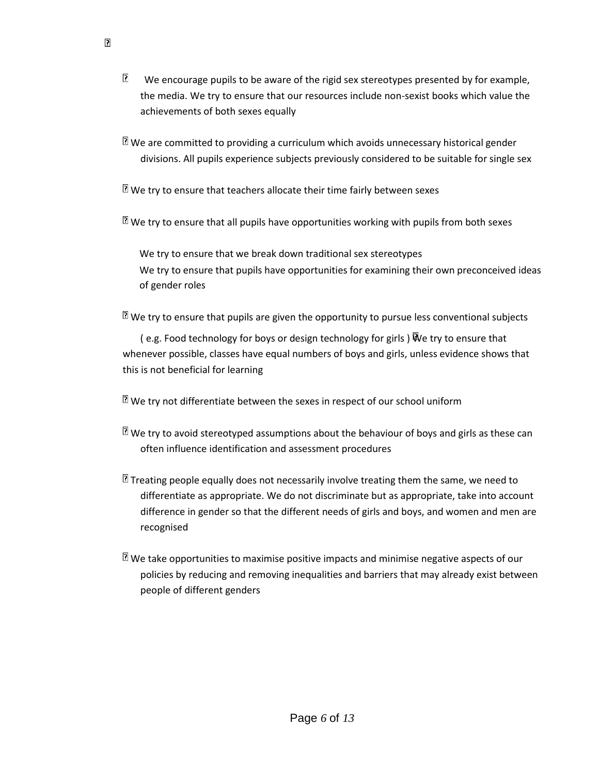B. We encourage pupils to be aware of the rigid sex stereotypes presented by for example, the media. We try to ensure that our resources include non-sexist books which value the achievements of both sexes equally

 $\mathbb{\Omega}$  We are committed to providing a curriculum which avoids unnecessary historical gender divisions. All pupils experience subjects previously considered to be suitable for single sex

 $\mathbb{\mathbb{R}}$  We try to ensure that teachers allocate their time fairly between sexes

 $\mathbb{\Omega}$  We try to ensure that all pupils have opportunities working with pupils from both sexes

We try to ensure that we break down traditional sex stereotypes We try to ensure that pupils have opportunities for examining their own preconceived ideas of gender roles

 $\mathbb{\Xi}$  We try to ensure that pupils are given the opportunity to pursue less conventional subjects

( e.g. Food technology for boys or design technology for girls ) We try to ensure that whenever possible, classes have equal numbers of boys and girls, unless evidence shows that this is not beneficial for learning

 $\mathbb{\Omega}$  We try not differentiate between the sexes in respect of our school uniform

- $\mathbb{\Omega}$  We try to avoid stereotyped assumptions about the behaviour of boys and girls as these can often influence identification and assessment procedures
- $\mathbb E$  Treating people equally does not necessarily involve treating them the same, we need to differentiate as appropriate. We do not discriminate but as appropriate, take into account difference in gender so that the different needs of girls and boys, and women and men are recognised
- $\mathbb{\Omega}$  We take opportunities to maximise positive impacts and minimise negative aspects of our policies by reducing and removing inequalities and barriers that may already exist between people of different genders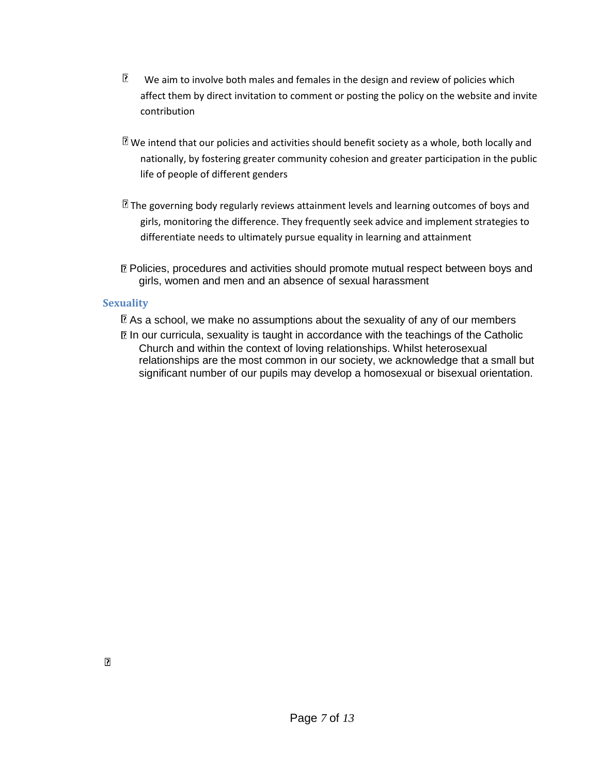- $\overline{2}$ We aim to involve both males and females in the design and review of policies which affect them by direct invitation to comment or posting the policy on the website and invite contribution
- $\mathbb{\Xi}$  We intend that our policies and activities should benefit society as a whole, both locally and nationally, by fostering greater community cohesion and greater participation in the public life of people of different genders
- $\mathbb E$  The governing body regularly reviews attainment levels and learning outcomes of boys and girls, monitoring the difference. They frequently seek advice and implement strategies to differentiate needs to ultimately pursue equality in learning and attainment
- Policies, procedures and activities should promote mutual respect between boys and girls, women and men and an absence of sexual harassment

## **Sexuality**

 $\mathbb{\Omega}$  As a school, we make no assumptions about the sexuality of any of our members **In our curricula, sexuality is taught in accordance with the teachings of the Catholic** Church and within the context of loving relationships. Whilst heterosexual relationships are the most common in our society, we acknowledge that a small but significant number of our pupils may develop a homosexual or bisexual orientation.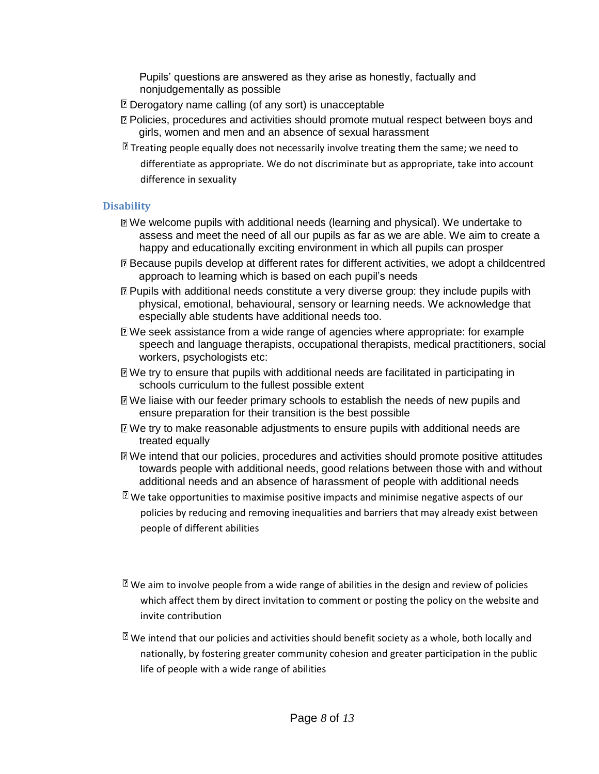Pupils' questions are answered as they arise as honestly, factually and nonjudgementally as possible

- **Derogatory name calling (of any sort) is unacceptable**
- Policies, procedures and activities should promote mutual respect between boys and girls, women and men and an absence of sexual harassment
- $\mathbb E$  Treating people equally does not necessarily involve treating them the same; we need to differentiate as appropriate. We do not discriminate but as appropriate, take into account difference in sexuality

## **Disability**

- We welcome pupils with additional needs (learning and physical). We undertake to assess and meet the need of all our pupils as far as we are able. We aim to create a happy and educationally exciting environment in which all pupils can prosper
- Because pupils develop at different rates for different activities, we adopt a childcentred approach to learning which is based on each pupil's needs
- **Pupils with additional needs constitute a very diverse group: they include pupils with** physical, emotional, behavioural, sensory or learning needs. We acknowledge that especially able students have additional needs too.
- We seek assistance from a wide range of agencies where appropriate: for example speech and language therapists, occupational therapists, medical practitioners, social workers, psychologists etc:
- We try to ensure that pupils with additional needs are facilitated in participating in schools curriculum to the fullest possible extent
- We liaise with our feeder primary schools to establish the needs of new pupils and ensure preparation for their transition is the best possible
- We try to make reasonable adjustments to ensure pupils with additional needs are treated equally
- We intend that our policies, procedures and activities should promote positive attitudes towards people with additional needs, good relations between those with and without additional needs and an absence of harassment of people with additional needs
- $\mathbb{\Omega}$  We take opportunities to maximise positive impacts and minimise negative aspects of our policies by reducing and removing inequalities and barriers that may already exist between people of different abilities
- $\mathbb{\Omega}$  We aim to involve people from a wide range of abilities in the design and review of policies which affect them by direct invitation to comment or posting the policy on the website and invite contribution
- $\mathbb E$  We intend that our policies and activities should benefit society as a whole, both locally and nationally, by fostering greater community cohesion and greater participation in the public life of people with a wide range of abilities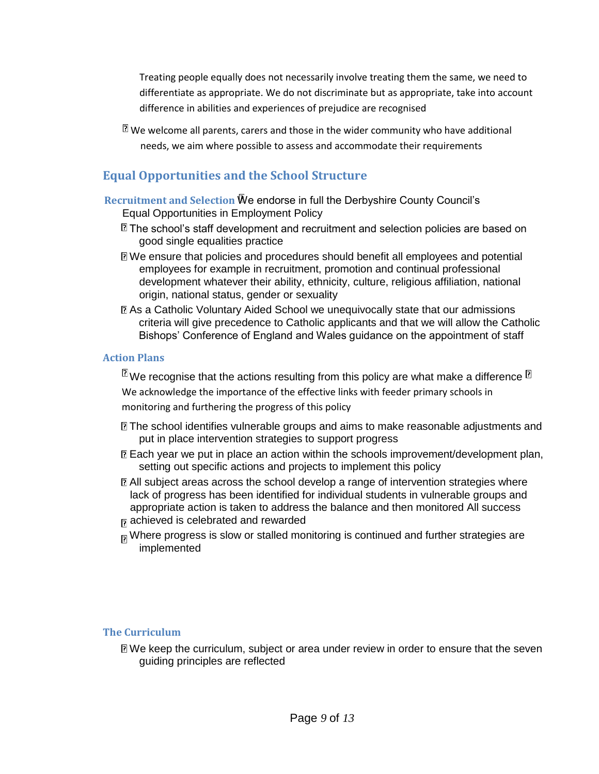Treating people equally does not necessarily involve treating them the same, we need to differentiate as appropriate. We do not discriminate but as appropriate, take into account difference in abilities and experiences of prejudice are recognised

 $\mathbb E$  We welcome all parents, carers and those in the wider community who have additional needs, we aim where possible to assess and accommodate their requirements

## **Equal Opportunities and the School Structure**

**Recruitment and Selection** We endorse in full the Derbyshire County Council's Equal Opportunities in Employment Policy

- $\mathbb{\mathbb{Z}}$  The school's staff development and recruitment and selection policies are based on good single equalities practice
- We ensure that policies and procedures should benefit all employees and potential employees for example in recruitment, promotion and continual professional development whatever their ability, ethnicity, culture, religious affiliation, national origin, national status, gender or sexuality
- As a Catholic Voluntary Aided School we unequivocally state that our admissions criteria will give precedence to Catholic applicants and that we will allow the Catholic Bishops' Conference of England and Wales guidance on the appointment of staff

## **Action Plans**

 $\mathbb{\overline{B}}$ We recognise that the actions resulting from this policy are what make a difference  $\mathbb{\overline{B}}$ We acknowledge the importance of the effective links with feeder primary schools in monitoring and furthering the progress of this policy

- The school identifies vulnerable groups and aims to make reasonable adjustments and put in place intervention strategies to support progress
- Each year we put in place an action within the schools improvement/development plan, setting out specific actions and projects to implement this policy
- All subject areas across the school develop a range of intervention strategies where lack of progress has been identified for individual students in vulnerable groups and appropriate action is taken to address the balance and then monitored All success achieved is celebrated and rewarded
- $_{\text{p}}$  Where progress is slow or stalled monitoring is continued and further strategies are implemented

## **The Curriculum**

We keep the curriculum, subject or area under review in order to ensure that the seven guiding principles are reflected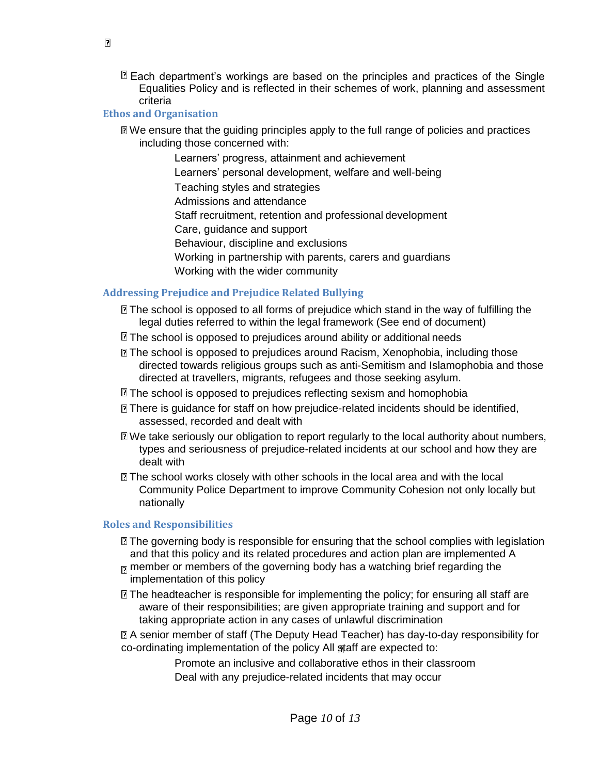Each department's workings are based on the principles and practices of the Single Equalities Policy and is reflected in their schemes of work, planning and assessment criteria

## **Ethos and Organisation**

- We ensure that the guiding principles apply to the full range of policies and practices including those concerned with:
	- Learners' progress, attainment and achievement Learners' personal development, welfare and well-being
	- Teaching styles and strategies
	- Admissions and attendance
	- Staff recruitment, retention and professional development
	- Care, guidance and support
	- Behaviour, discipline and exclusions
	- Working in partnership with parents, carers and guardians
	- Working with the wider community

## **Addressing Prejudice and Prejudice Related Bullying**

- The school is opposed to all forms of prejudice which stand in the way of fulfilling the legal duties referred to within the legal framework (See end of document)
- **The school is opposed to prejudices around ability or additional needs**
- The school is opposed to prejudices around Racism, Xenophobia, including those directed towards religious groups such as anti-Semitism and Islamophobia and those directed at travellers, migrants, refugees and those seeking asylum.
- **The school is opposed to prejudices reflecting sexism and homophobia**
- **There is guidance for staff on how prejudice-related incidents should be identified,** assessed, recorded and dealt with
- We take seriously our obligation to report regularly to the local authority about numbers, types and seriousness of prejudice-related incidents at our school and how they are dealt with
- The school works closely with other schools in the local area and with the local Community Police Department to improve Community Cohesion not only locally but nationally

## **Roles and Responsibilities**

- **If** The governing body is responsible for ensuring that the school complies with legislation and that this policy and its related procedures and action plan are implemented A
- $_{\overline{D}}$  member or members of the governing body has a watching brief regarding the implementation of this policy
- $\mathbb D$  The headteacher is responsible for implementing the policy; for ensuring all staff are aware of their responsibilities; are given appropriate training and support and for taking appropriate action in any cases of unlawful discrimination
- A senior member of staff (The Deputy Head Teacher) has day-to-day responsibility for co-ordinating implementation of the policy All staff are expected to:

Promote an inclusive and collaborative ethos in their classroom Deal with any prejudice-related incidents that may occur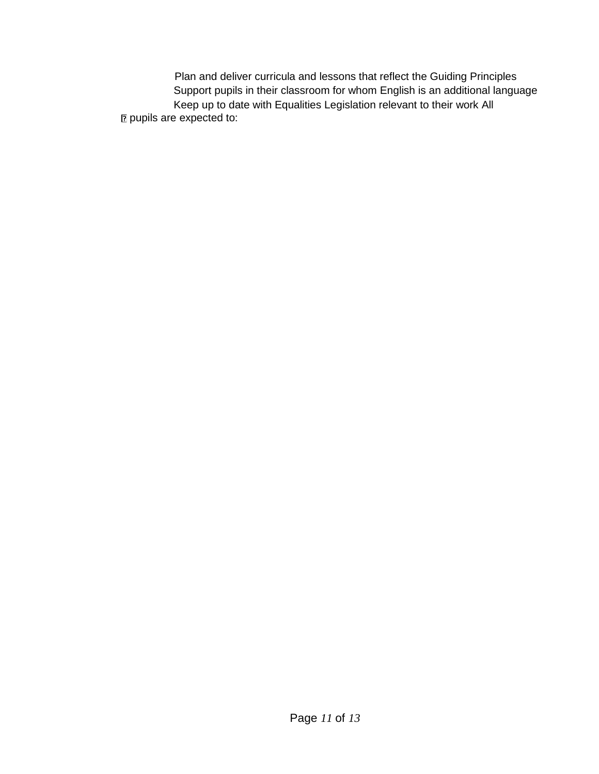Plan and deliver curricula and lessons that reflect the Guiding Principles Support pupils in their classroom for whom English is an additional language Keep up to date with Equalities Legislation relevant to their work All **pupils are expected to:**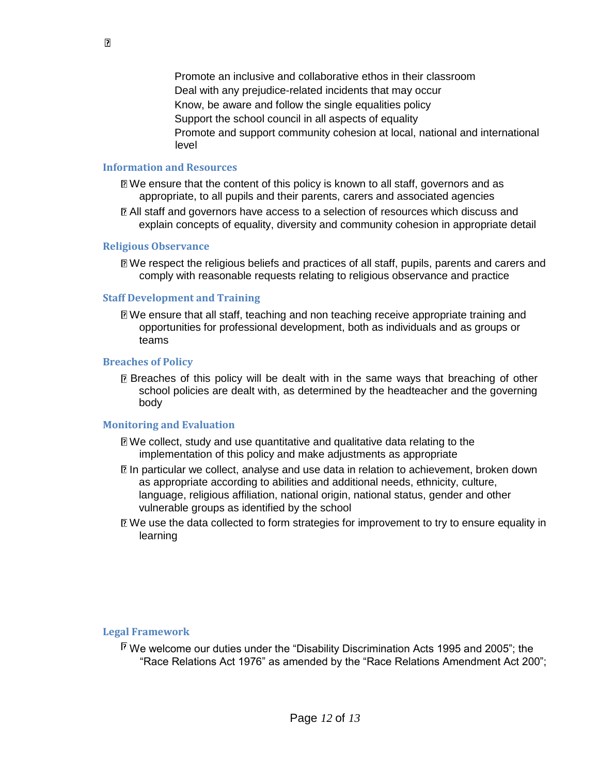Promote an inclusive and collaborative ethos in their classroom Deal with any prejudice-related incidents that may occur Know, be aware and follow the single equalities policy Support the school council in all aspects of equality Promote and support community cohesion at local, national and international level

#### **Information and Resources**

- We ensure that the content of this policy is known to all staff, governors and as appropriate, to all pupils and their parents, carers and associated agencies
- All staff and governors have access to a selection of resources which discuss and explain concepts of equality, diversity and community cohesion in appropriate detail

#### **Religious Observance**

We respect the religious beliefs and practices of all staff, pupils, parents and carers and comply with reasonable requests relating to religious observance and practice

#### **Staff Development and Training**

We ensure that all staff, teaching and non teaching receive appropriate training and opportunities for professional development, both as individuals and as groups or teams

#### **Breaches of Policy**

Breaches of this policy will be dealt with in the same ways that breaching of other school policies are dealt with, as determined by the headteacher and the governing body

#### **Monitoring and Evaluation**

- We collect, study and use quantitative and qualitative data relating to the implementation of this policy and make adjustments as appropriate
- **In particular we collect, analyse and use data in relation to achievement, broken down** as appropriate according to abilities and additional needs, ethnicity, culture, language, religious affiliation, national origin, national status, gender and other vulnerable groups as identified by the school
- We use the data collected to form strategies for improvement to try to ensure equality in learning

#### **Legal Framework**

 $\mathbb{\mathbb{Z}}$  We welcome our duties under the "Disability Discrimination Acts 1995 and 2005"; the "Race Relations Act 1976" as amended by the "Race Relations Amendment Act 200";